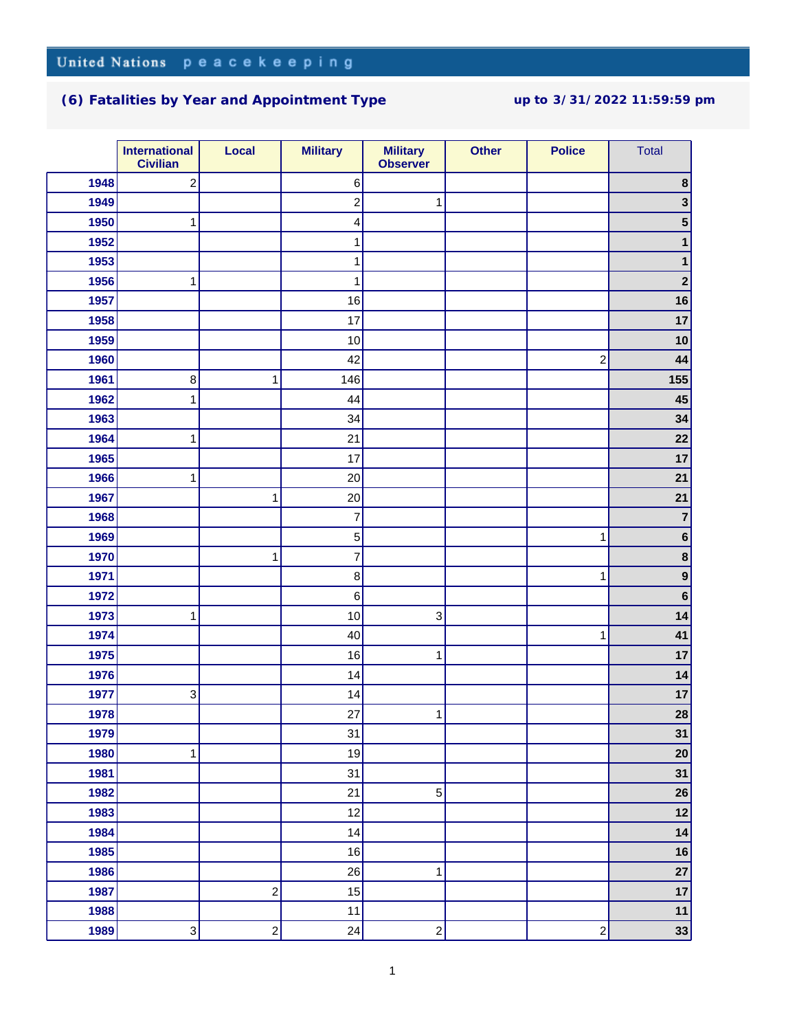## **(6) Fatalities by Year and Appointment Type up to 3/31/2022 11:59:59 pm**

|      | <b>International</b><br><b>Civilian</b> | Local                   | <b>Military</b>          | <b>Military</b><br><b>Observer</b> | <b>Other</b> | <b>Police</b>           | <b>Total</b>   |
|------|-----------------------------------------|-------------------------|--------------------------|------------------------------------|--------------|-------------------------|----------------|
| 1948 | $\overline{\mathbf{c}}$                 |                         | $\,6$                    |                                    |              |                         | 8              |
| 1949 |                                         |                         | $\boldsymbol{2}$         | 1                                  |              |                         |                |
| 1950 | 1                                       |                         | 4                        |                                    |              |                         |                |
| 1952 |                                         |                         | 1                        |                                    |              |                         |                |
| 1953 |                                         |                         | 1                        |                                    |              |                         |                |
| 1956 | 1                                       |                         | 1                        |                                    |              |                         | $\overline{2}$ |
| 1957 |                                         |                         | 16                       |                                    |              |                         | 16             |
| 1958 |                                         |                         | 17                       |                                    |              |                         | 17             |
| 1959 |                                         |                         | 10                       |                                    |              |                         | 10             |
| 1960 |                                         |                         | 42                       |                                    |              | $\overline{c}$          | 44             |
| 1961 | 8                                       | 1                       | 146                      |                                    |              |                         | 155            |
| 1962 | 1                                       |                         | 44                       |                                    |              |                         | 45             |
| 1963 |                                         |                         | 34                       |                                    |              |                         | 34             |
| 1964 | 1                                       |                         | 21                       |                                    |              |                         | 22             |
| 1965 |                                         |                         | 17                       |                                    |              |                         | 17             |
| 1966 | 1                                       |                         | 20                       |                                    |              |                         | 21             |
| 1967 |                                         | 1                       | 20                       |                                    |              |                         | 21             |
| 1968 |                                         |                         | $\overline{\mathcal{I}}$ |                                    |              |                         | $\overline{7}$ |
| 1969 |                                         |                         | $\mathbf 5$              |                                    |              | 1                       | $\bf 6$        |
| 1970 |                                         | $\mathbf{1}$            | $\overline{\mathcal{I}}$ |                                    |              |                         | $\bf 8$        |
| 1971 |                                         |                         | $\bf8$                   |                                    |              | 1                       | 9              |
| 1972 |                                         |                         | $\,6\,$                  |                                    |              |                         | 6              |
| 1973 | 1                                       |                         | 10                       | 3                                  |              |                         | 14             |
| 1974 |                                         |                         | 40                       |                                    |              | 1                       | 41             |
| 1975 |                                         |                         | 16                       | 1                                  |              |                         | 17             |
| 1976 |                                         |                         | 14                       |                                    |              |                         | 14             |
| 1977 | 3                                       |                         | 14                       |                                    |              |                         | 17             |
| 1978 |                                         |                         | 27                       | 1                                  |              |                         | 28             |
| 1979 |                                         |                         | 31                       |                                    |              |                         | 31             |
| 1980 | 1                                       |                         | 19                       |                                    |              |                         | 20             |
| 1981 |                                         |                         | 31                       |                                    |              |                         | 31             |
| 1982 |                                         |                         | 21                       | 5                                  |              |                         | 26             |
| 1983 |                                         |                         | 12                       |                                    |              |                         | 12             |
| 1984 |                                         |                         | 14                       |                                    |              |                         | 14             |
| 1985 |                                         |                         | 16                       |                                    |              |                         | 16             |
| 1986 |                                         |                         | 26                       | 1                                  |              |                         | 27             |
| 1987 |                                         | $\boldsymbol{2}$        | 15                       |                                    |              |                         | 17             |
| 1988 |                                         |                         | 11                       |                                    |              |                         | $11$           |
| 1989 | $\mathbf{3}$                            | $\overline{\mathbf{c}}$ | 24                       | $\mathbf{2}$                       |              | $\overline{\mathbf{c}}$ | 33             |